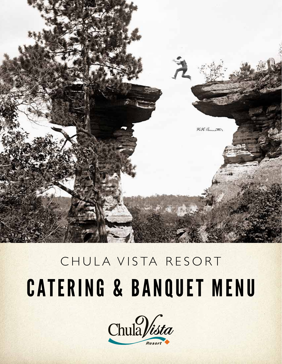

# CATERING & BANQUET MENU CHULA VISTA RESORT

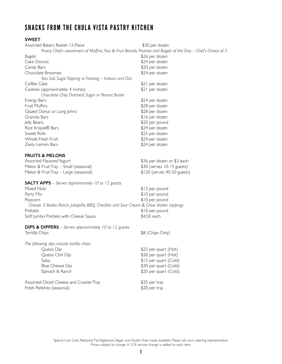# SNACKS FROM THE CHULA VISTA PASTRY KITCHEN

# **SWEET**

| Assorted Bakers Basket 12-Piece                                                                              | \$30 per dozen              |
|--------------------------------------------------------------------------------------------------------------|-----------------------------|
| Pastry Chef's assortment of Muffins, Nut & Fruit Breads, Pastries and Bagels of the Day – Chef's Choice of 2 |                             |
| <b>Bagels</b>                                                                                                | \$26 per dozen              |
| Cake Donuts                                                                                                  | \$24 per dozen              |
| Candy Bars                                                                                                   | \$20 per dozen              |
| Chocolate Brownies                                                                                           | \$24 per dozen              |
| Sea Salt, Sugar Topping or Frosting - Indoors and Out                                                        |                             |
| Coffee Cake                                                                                                  | \$21 per dozen              |
| Cookies (approximately 4 inches)                                                                             | \$21 per dozen              |
| Chocolate Chip, Oatmeal, Sugar or Peanut Butter                                                              |                             |
| Energy Bars                                                                                                  | \$24 per dozen              |
| Fruit Muffins                                                                                                | \$28 per dozen              |
| Glazed Donut or Long Johns                                                                                   | \$28 per dozen              |
| Granola Bars                                                                                                 | \$16 per dozen              |
| Jelly Beans                                                                                                  | \$20 per pound              |
| Rice Krispie® Bars                                                                                           | \$24 per dozen              |
| Sweet Rolls                                                                                                  | \$25 per dozen              |
| Whole Fresh Fruit                                                                                            | \$24 per dozen              |
| Zesty Lemon Bars                                                                                             | \$24 per dozen              |
| <b>FRUITS &amp; MELONS</b>                                                                                   |                             |
| Assorted Flavored Yogurt                                                                                     | \$36 per dozen or \$3 each  |
| Melon & Fruit Tray - Small (seasonal)                                                                        | \$30 (serves 10-15 guests)  |
| Melon & Fruit Tray - Large (seasonal)                                                                        | \$120 (serves 40-50 guests) |
|                                                                                                              |                             |
| <b>SALTY APPS</b> – Serves approximately 10 to 12 guests                                                     |                             |
| Mixed Nuts                                                                                                   | \$15 per pound              |
| Party Mix                                                                                                    | \$10 per pound              |
| Popcorn                                                                                                      | \$10 per pound              |
| Choose 3: Butter, Ranch, Jalapeño, BBQ, Cheddar and Sour Cream & Chive shaker toppings                       |                             |
| Pretzels                                                                                                     | \$10 per pound              |
| Soft Jumbo Pretzels with Cheese Sauce                                                                        | \$4.50 each                 |
|                                                                                                              |                             |
| <b>DIPS &amp; DIPPERS</b> – Serves approximately 10 to 12 guests                                             |                             |
| Tortilla Chips                                                                                               | \$8 (Chips Only)            |
| The following dips include tortilla chips:                                                                   |                             |
| Queso Dip                                                                                                    | \$25 per quart (Hot)        |
| Queso Chili Dip                                                                                              | \$30 per quart (Hot)        |
| Salsa                                                                                                        | \$15 per quart (Cold)       |
| <b>Blue Cheese Dip</b>                                                                                       | \$30 per quart (Cold)       |
| Spinach & Ranch                                                                                              | \$20 per quart (Cold)       |
|                                                                                                              |                             |
| Assorted Diced Cheese and Cracker Tray                                                                       | \$35 per tray               |
| Fresh Relishes (seasonal)                                                                                    |                             |
|                                                                                                              | \$20 per tray               |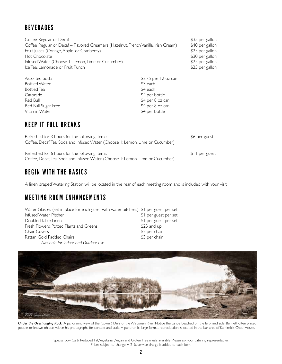# BEVERAGES

| Coffee Regular or Decaf                                                             |                      | \$35 per gallon |
|-------------------------------------------------------------------------------------|----------------------|-----------------|
| Coffee Regular or Decaf - Flavored Creamers (Hazelnut, French Vanilla, Irish Cream) |                      | \$40 per gallon |
| Fruit Juices (Orange, Apple, or Cranberry)                                          |                      | \$25 per gallon |
| Hot Chocolate                                                                       |                      | \$30 per gallon |
| Infused Water (Choose I: Lemon, Lime or Cucumber)                                   |                      | \$25 per gallon |
| Ice Tea, Lemonade or Fruit Punch                                                    |                      | \$25 per gallon |
| Assorted Soda                                                                       | \$2.75 per 12 oz can |                 |
| Bottled Water                                                                       | \$3 each             |                 |
| Bottled Tea                                                                         | \$4 each             |                 |
| Gatorade                                                                            | \$4 per bottle       |                 |
| Red Bull                                                                            | \$4 per 8 oz can     |                 |
| Red Bull Sugar Free                                                                 | \$4 per 8 oz can     |                 |
| Vitamin Water                                                                       | \$4 per bottle       |                 |

# KEEP IT FULL BREAKS

| Refreshed for 3 hours for the following items:                                 | \$6 per guest  |
|--------------------------------------------------------------------------------|----------------|
| Coffee, Decaf, Tea, Soda and Infused Water (Choose 1: Lemon, Lime or Cucumber) |                |
|                                                                                |                |
| Refreshed for 6 hours for the following items:                                 | \$11 per guest |
| Coffee, Decaf, Tea, Soda and Infused Water (Choose 1: Lemon, Lime or Cucumber) |                |

# BEGIN WITH THE BASICS

A linen draped Watering Station will be located in the rear of each meeting room and is included with your visit.

# MEETING ROOM ENHANCEMENTS

| Water Glasses (set in place for each guest with water pitchers) \$1 per guest per set |                       |
|---------------------------------------------------------------------------------------|-----------------------|
| Infused Water Pitcher                                                                 | \$1 per guest per set |
| Doubled Table Linens                                                                  | \$1 per guest per set |
| Fresh Flowers, Potted Plants and Greens                                               | $$25$ and up          |
| <b>Chair Covers</b>                                                                   | \$2 per chair         |
| Rattan Gold Padded Chairs                                                             | \$3 per chair         |
| Available for Indoor and Outdoor use                                                  |                       |



*Under the Overhanging Rock* A panoramic view of the (Lower) Dells of the Wisconsin River. Notice the canoe beached on the left-hand side. Bennett often placed people or known objects within his photographs for context and scale. A panoramic, large format reproduction is located in the bar area of Kaminski's Chop House.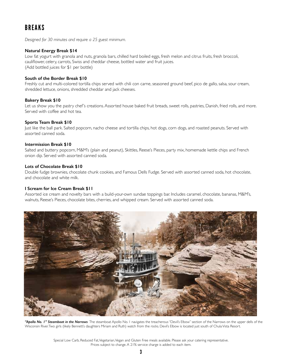# BREAKS

*Designed for 30 minutes and require a 25 guest minimum.*

# **Natural Energy Break \$14**

Low fat yogurt with granola and nuts, granola bars, chilled hard boiled eggs, fresh melon and citrus fruits, fresh broccoli, cauliflower, celery, carrots, Swiss and cheddar cheese, bottled water and fruit juices. (Add bottled juices for \$1 per bottle)

# **South of the Border Break \$10**

Freshly cut and multi-colored tortilla chips served with chili con carne, seasoned ground beef, pico de gallo, salsa, sour cream, shredded lettuce, onions, shredded cheddar and jack cheeses.

#### **Bakery Break \$10**

Let us show you the pastry chef's creations. Assorted house baked fruit breads, sweet rolls, pastries, Danish, fried rolls, and more. Served with coffee and hot tea.

#### **Sports Team Break \$10**

Just like the ball park. Salted popcorn, nacho cheese and tortilla chips, hot dogs, corn dogs, and roasted peanuts. Served with assorted canned soda.

#### **Intermission Break \$10**

Salted and buttery popcorn, M&M's (plain and peanut), Skittles, Reese's Pieces, party mix, homemade kettle chips and French onion dip. Served with assorted canned soda.

#### **Lots of Chocolate Break \$10**

Double fudge brownies, chocolate chunk cookies, and Famous Dells Fudge. Served with assorted canned soda, hot chocolate, and chocolate and white milk.

# **I Scream for Ice Cream Break \$11**

Assorted ice cream and novelty bars with a build-your-own sundae toppings bar. Includes caramel, chocolate, bananas, M&M's, walnuts, Reese's Pieces, chocolate bites, cherries, and whipped cream. Served with assorted canned soda.



*"Apollo No. 1" Steamboat in the Narrows* The steamboat Apollo No. 1 navigates the treacherous "Devil's Elbow" section of the Narrows on the upper dells of the Wisconsin River. Two girls (likely Bennett's daughters Miriam and Ruth) watch from the rocks. Devil's Elbow is located just south of Chula Vista Resort.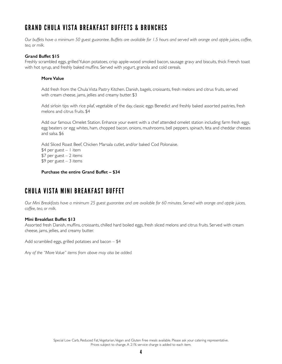# GRAND CHULA VISTA BREAKFAST BUFFETS & BRUNCHES

*Our buffets have a minimum 50 guest guarantee. Buffets are available for 1.5 hours and served with orange and apple juices, coffee, tea, or milk.*

# **Grand Buffet \$15**

Freshly scrambled eggs, grilled Yukon potatoes, crisp apple-wood smoked bacon, sausage gravy and biscuits, thick French toast with hot syrup, and freshly baked muffins. Served with yogurt, granola and cold cereals.

#### **More Value**

Add fresh from the Chula Vista Pastry Kitchen. Danish, bagels, croissants, fresh melons and citrus fruits, served with cream cheese, jams, jellies and creamy butter. \$3

Add sirloin tips with rice pilaf, vegetable of the day, classic eggs Benedict and freshly baked assorted pastries, fresh melons and citrus fruits. \$4

Add our famous Omelet Station. Enhance your event with a chef attended omelet station including: farm fresh eggs, egg beaters or egg whites, ham, chopped bacon, onions, mushrooms, bell peppers, spinach, feta and cheddar cheeses and salsa. \$6

Add Sliced Roast Beef, Chicken Marsala cutlet, and/or baked Cod Polonaise. \$4 per guest  $-1$  item \$7 per guest – 2 items \$9 per guest – 3 items

**Purchase the entire Grand Buffet – \$34**

# CHULA VISTA MINI BREAKFAST BUFFET

*Our Mini Breakfasts have a minimum 25 guest guarantee and are available for 60 minutes. Served with orange and apple juices, coffee, tea, or milk.*

#### **Mini Breakfast Buffet \$13**

Assorted fresh Danish, muffins, croissants, chilled hard boiled eggs, fresh sliced melons and citrus fruits. Served with cream cheese, jams, jellies, and creamy butter.

Add scrambled eggs, grilled potatoes and bacon – \$4

*Any of the "More Value" items from above may also be added.*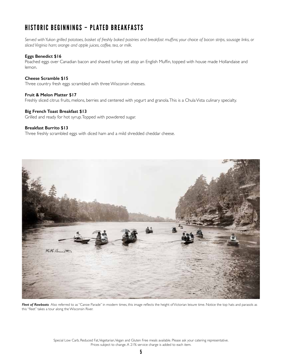# HISTORIC BEGINNINGS – PLATED BREAKFASTS

*Served with Yukon grilled potatoes, basket of freshly baked pastries and breakfast muffins; your choice of bacon strips, sausage links, or sliced Virginia ham; orange and apple juices, coffee, tea, or milk.*

# **Eggs Benedict \$16**

Poached eggs over Canadian bacon and shaved turkey set atop an English Muffin, topped with house made Hollandaise and lemon.

# **Cheese Scramble \$15**

Three country fresh eggs scrambled with three Wisconsin cheeses.

# **Fruit & Melon Platter \$17**

Freshly sliced citrus fruits, melons, berries and centered with yogurt and granola. This is a Chula Vista culinary specialty.

# **Big French Toast Breakfast \$13**

Grilled and ready for hot syrup. Topped with powdered sugar.

# **Breakfast Burrito \$13**

Three freshly scrambled eggs with diced ham and a mild shredded cheddar cheese.



*Fleet of Rowboats* Also referred to as "Canoe Parade" in modern times, this image reflects the height of Victorian leisure time. Notice the top hats and parasols as this "fleet" takes a tour along the Wisconsin River.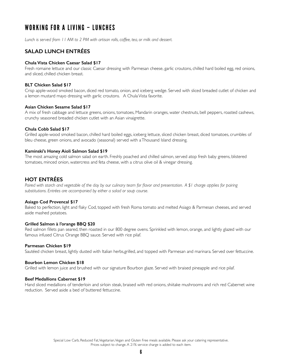# WORKING FOR A LIVING – LUNCHES

*Lunch is served from 11 AM to 2 PM with artisan rolls, coffee, tea, or milk and dessert.*

# **SALAD LUNCH ENTRÉES**

# **Chula Vista Chicken Caesar Salad \$17**

Fresh romaine lettuce and our classic Caesar dressing with Parmesan cheese, garlic croutons, chilled hard boiled egg, red onions, and sliced, chilled chicken breast.

# **BLT Chicken Salad \$17**

Crisp apple-wood smoked bacon, diced red tomato, onion, and iceberg wedge. Served with sliced breaded cutlet of chicken and a lemon mustard mayo dressing with garlic croutons. A Chula Vista favorite.

# **Asian Chicken Sesame Salad \$17**

A mix of fresh cabbage and lettuce greens, onions, tomatoes, Mandarin oranges, water chestnuts, bell peppers, roasted cashews, crunchy seasoned breaded chicken cutlet with an Asian vinaigrette.

# **Chula Cobb Salad \$17**

Grilled apple-wood smoked bacon, chilled hard boiled eggs, iceberg lettuce, sliced chicken breast, diced tomatoes, crumbles of bleu cheese, green onions, and avocado (seasonal) served with a Thousand Island dressing.

# **Kaminski's Honey Aioli Salmon Salad \$19**

The most amazing cold salmon salad on earth. Freshly poached and chilled salmon, served atop fresh baby greens, blistered tomatoes, minced onion, watercress and feta cheese, with a citrus olive oil & vinegar dressing.

# **HOT ENTRÉES**

*Paired with starch and vegetable of the day by our culinary team for flavor and presentation. A \$1 charge applies for pairing substitutions. Entrées are accompanied by either a salad or soup course.*

# **Asiago Cod Provencal \$17**

Baked to perfection, light and flaky Cod, topped with fresh Roma tomato and melted Asiago & Parmesan cheeses, and served aside mashed potatoes.

# **Grilled Salmon à l'orange BBQ \$20**

Red salmon fillets pan seared, then roasted in our 800 degree ovens. Sprinkled with lemon, orange, and lightly glazed with our famous infused Citrus Orange BBQ sauce. Served with rice pilaf.

# **Parmesan Chicken \$19**

Sautéed chicken breast, lightly dusted with Italian herbs,grilled, and topped with Parmesan and marinara. Served over fettuccine.

# **Bourbon Lemon Chicken \$18**

Grilled with lemon juice and brushed with our signature Bourbon glaze. Served with braised pineapple and rice pilaf.

# **Beef Medallions Cabernet \$19**

Hand sliced medallions of tenderloin and sirloin steak, braised with red onions, shiitake mushrooms and rich red Cabernet wine reduction. Served aside a bed of buttered fettuccine.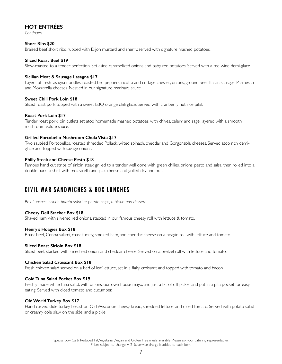# **HOT ENTRÉES**

*Continued*

# **Short Ribs \$20**

Braised beef short ribs, rubbed with Dijon mustard and sherry, served with signature mashed potatoes.

# **Sliced Roast Beef \$19**

Slow-roasted to a tender perfection. Set aside caramelized onions and baby red potatoes. Served with a red wine demi-glace.

# **Sicilian Meat & Sausage Lasagna \$17**

Layers of fresh lasagna noodles, roasted bell peppers, ricotta and cottage chesses, onions, ground beef, Italian sausage, Parmesan and Mozzarella cheeses. Nestled in our signature marinara sauce.

#### **Sweet Chili Pork Loin \$18**

Sliced roast pork topped with a sweet BBQ orange chili glaze. Served with cranberry nut rice pilaf.

#### **Roast Pork Loin \$17**

Tender roast pork loin cutlets set atop homemade mashed potatoes, with chives, celery and sage, layered with a smooth mushroom volute sauce.

# **Grilled Portobello Mushroom Chula Vista \$17**

Two sautéed Portobellos, roasted shredded Pollack, wilted spinach, cheddar and Gorgonzola cheeses. Served atop rich demiglace and topped with savage onions.

# **Philly Steak and Cheese Pesto \$18**

Famous hand cut strips of sirloin steak grilled to a tender well done with green chilies, onions, pesto and salsa, then rolled into a double burrito shell with mozzarella and jack cheese and grilled dry and hot.

# CIVIL WAR SANDWICHES & BOX LUNCHES

*Box Lunches include potato salad or potato chips, a pickle and dessert.*

# **Cheesy Deli Stacker Box \$18**

Shaved ham with slivered red onions, stacked in our famous cheesy roll with lettuce & tomato.

# **Henry's Hoagies Box \$18**

Roast beef, Genoa salami, roast turkey, smoked ham, and cheddar cheese on a hoagie roll with lettuce and tomato.

# **Sliced Roast Sirloin Box \$18**

Sliced beef, stacked with sliced red onion, and cheddar cheese. Served on a pretzel roll with lettuce and tomato.

# **Chicken Salad Croissant Box \$18**

Fresh chicken salad served on a bed of leaf lettuce, set in a flaky croissant and topped with tomato and bacon.

# **Cold Tuna Salad Pocket Box \$19**

Freshly made white tuna salad, with onions, our own house mayo, and just a bit of dill pickle, and put in a pita pocket for easy eating. Served with diced tomato and cucumber.

# **Old World Turkey Box \$17**

Hand carved slide turkey breast on Old Wisconsin cheesy bread, shredded lettuce, and diced tomato. Served with potato salad or creamy cole slaw on the side, and a pickle.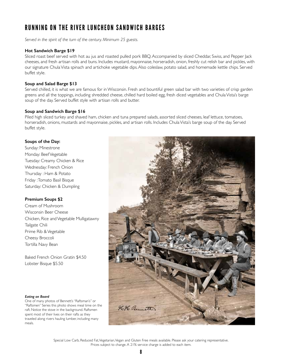# RUNNING ON THE RIVER LUNCHEON SANDWICH BARGES

*Served in the spirit of the turn of the century. Minimum 25 guests.*

# **Hot Sandwich Barge \$19**

Sliced roast beef served with hot au jus and roasted pulled pork BBQ. Accompanied by sliced Cheddar, Swiss, and Pepper Jack cheeses, and fresh artisan rolls and buns. Includes mustard, mayonnaise, horseradish, onion, freshly cut relish bar and pickles, with our signature Chula Vista spinach and artichoke vegetable dips. Also coleslaw, potato salad, and homemade kettle chips. Served buffet style.

# **Soup and Salad Barge \$13**

Served chilled, it is what we are famous for in Wisconsin. Fresh and bountiful green salad bar with two varieties of crisp garden greens and all the toppings, including shredded cheese, chilled hard boiled egg, fresh diced vegetables and Chula Vista's barge soup of the day. Served buffet style with artisan rolls and butter.

# **Soup and Sandwich Barge \$16**

Piled high sliced turkey and shaved ham, chicken and tuna prepared salads, assorted sliced cheeses, leaf lettuce, tomatoes, horseradish, onions, mustards and mayonnaise, pickles, and artisan rolls. Includes Chula Vista's barge soup of the day. Served buffet style.

# **Soups of the Day:**

Sunday: Minestrone Monday: Beef Vegetable Tuesday: Creamy Chicken & Rice Wednesday: French Onion Thursday : Ham & Potato Friday : Tomato Basil Bisque Saturday: Chicken & Dumpling

# **Premium Soups \$2**

Cream of Mushroom Wisconsin Beer Cheese Chicken, Rice and Vegetable Mulligatawny Tailgate Chili Prime Rib & Vegetable Cheesy Broccoli Tortilla Navy Bean

Baked French Onion Gratin \$4.50 Lobster Bisque \$5.50

#### *Eating on Board*

One of many photos of Bennett's "Raftsman's" or "Raftsmen" Series this photo shows meal time on the raft. Notice the stove in the background. Raftsmen spent most of their lives on their rafts as they traveled along rivers hauling lumber, including many meals.

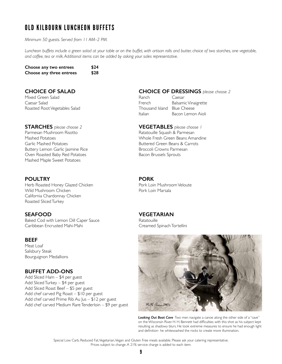# OLD KILBOURN LUNCHEON BUFFETS

*Minimum 50 guests. Served from 11 AM–2 PM.*

*Luncheon buffets include a green salad at your table or on the buffet, with artisan rolls and butter, choice of two starches, one vegetable, and coffee, tea or milk. Additional items can be added by asking your sales representative.*

**Choose any two entrees \$24 Choose any three entrees \$28**

# **CHOICE OF SALAD**

Mixed Green Salad Caesar Salad Roasted Root Vegetables Salad

# **STARCHES** *please choose 2*

Parmesan Mushroom Risotto Mashed Potatoes Garlic Mashed Potatoes Buttery Lemon Garlic Jasmine Rice Oven Roasted Baby Red Potatoes Mashed Maple Sweet Potatoes

# **POULTRY**

Herb Roasted Honey Glazed Chicken Wild Mushroom Chicken California Chardonnay Chicken Roasted Sliced Turkey

# **SEAFOOD**

Baked Cod with Lemon Dill Caper Sauce Caribbean Encrusted Mahi-Mahi

# **BEEF**

Meat Loaf Salisbury Steak Bourguignon Medallions

# **BUFFET ADD-ONS**

Add Sliced Ham – \$4 per guest Add Sliced Turkey – \$4 per guest Add Sliced Roast Beef – \$5 per guest Add chef carved Pig Roast – \$10 per guest Add chef carved Prime Rib Au Jus – \$12 per guest Add chef carved Medium Rare Tenderloin – \$9 per guest

# **CHOICE OF DRESSINGS** *please choose 2*

Ranch Caesar<br>French Balsami Balsamic Vinaigrette Thousand Island Blue Cheese Italian Bacon Lemon Aioli

# **VEGETABLES** *please choose 1*

Ratatouille Squash & Parmesan Whole Fresh Green Beans Amandine Buttered Green Beans & Carrots Broccoli Crowns Parmesan Bacon Brussels Sprouts

# **PORK**

Pork Loin Mushroom Veloute Pork Loin Marsala

# **VEGETARIAN**

**Ratatouille** Creamed Spinach Tortellini



*Looking Out Boat Cave* Two men navigate a canoe along the other side of a "cave" on the Wisconsin River. H. H. Bennett had difficulties with this shot as his subject kept resulting as shadowy blurs. He took extreme measures to ensure he had enough light and definition- he whitewashed the rocks to create more illumination.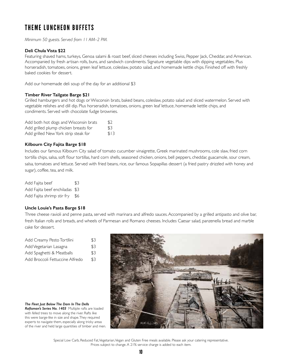# THEME LUNCHEON BUFFETS

*Minimum 50 guests. Served from 11 AM–2 PM.*

# **Deli Chula Vista \$22**

Featuring shaved hams, turkeys, Genoa salami & roast beef, sliced cheeses including Swiss, Pepper Jack, Cheddar, and American. Accompanied by fresh artisan rolls, buns, and sandwich condiments. Signature vegetable dips with dipping vegetables. Plus horseradish, tomatoes, onions, green leaf lettuce, coleslaw, potato salad, and homemade kettle chips. Finished off with freshly baked cookies for dessert.

Add our homemade deli soup of the day for an additional \$3

# **Timber River Tailgate Barge \$21**

Grilled hamburgers and hot dogs or Wisconsin brats, baked beans, coleslaw, potato salad and sliced watermelon. Served with vegetable relishes and dill dip. Plus horseradish, tomatoes, onions, green leaf lettuce, homemade kettle chips, and condiments. Served with chocolate fudge brownies.

| Add both hot dogs and Wisconsin brats | \$2  |
|---------------------------------------|------|
| Add grilled plump chicken breasts for | \$3  |
| Add grilled New York strip steak for  | \$13 |

# **Kilbourn City Fajita Barge \$18**

Includes our famous Kilbourn City salad of tomato cucumber vinaigrette, Greek marinated mushrooms, cole slaw, fried corn tortilla chips, salsa, soft flour tortillas, hard corn shells, seasoned chicken, onions, bell peppers, cheddar, guacamole, sour cream, salsa, tomatoes and lettuce. Served with fried beans, rice, our famous Sopapillas dessert (a fried pastry drizzled with honey and sugar), coffee, tea, and milk.

| Add Fajita beef                | \$3 |
|--------------------------------|-----|
| Add Fajita beef enchiladas \$3 |     |
| Add Fajita shrimp stir fry \$6 |     |

# **Uncle Louie's Pasta Barge \$18**

Three cheese ravioli and penne pasta, served with marinara and alfredo sauces. Accompanied by a grilled antipasto and olive bar, fresh Italian rolls and breads, and wheels of Parmesan and Romano cheeses. Includes Caesar salad, panzenella bread and marble cake for dessert.

| Add Creamy Pesto Tortllini      | \$3 |
|---------------------------------|-----|
| Add Vegetarian Lasagna          | \$3 |
| Add Spaghetti & Meatballs       | \$3 |
| Add Broccoli Fettuccine Alfredo | \$3 |
|                                 |     |



*The Fleet Just Below The Dam In The Dells Raftsman's Series No. 1403* Multiple rafts are loaded with felled trees to move along the river. Rafts like this were barge-like in size and shape. They required experts to navigate them, especially along tricky areas of the river and held large quantities of timber and men.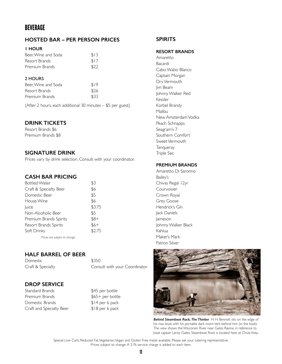# BEVERAGE

# **HOSTED BAR – PER PERSON PRICES**

# **1 HOUR**

| Beer, Wine and Soda | \$13 |
|---------------------|------|
| Resort Brands       | \$17 |
| Premium Brands      | \$22 |

# 2 HOURS

| Beer, Wine and Soda | \$19 |
|---------------------|------|
| Resort Brands       | \$26 |
| Premium Brands      | \$33 |

(After 2 hours, each additional 30 minutes – \$5 per guest)

# **DRINK TICKETS**

Resort Brands \$6 Premium Brands \$8

# **SIGNATURE DRINK**

Prices vary by drink selection. Consult with your coordinator.

# **CASH BAR PRICING**

| <b>Bottled Water</b>   | \$3    |
|------------------------|--------|
| Craft & Specialty Beer | \$6    |
| Domestic Beer          | \$5    |
| House Wine             | \$6    |
| luice                  | \$3.75 |
| Non-Alcoholic Beer     | \$5    |
| Premium Brands Spirits | $$8+$  |
| Resort Brands Spirits  | $$6+$  |
| Soft Drinks            | \$2.75 |
|                        |        |

*Prices are subject to change.*

# **HALF BARREL OF BEER**

Domestic \$350

Craft & Specialty Consult with your Coordinator

# **DROP SERVICE**

- Standard Brands \$45 per bottle Premium Brands \$65+ per bottle Domestic Brands \$14 per 6 pack Craft and Specialty Beer \$18 per 6 pack
	-

# **SPIRITS**

# **RESORT BRANDS**

Amaretto Bacardi Cabo Wabo Blanco Captain Morgan Dry Vermouth Jim Beam Johnny Walker Red Kessler Korbel Brandy Malibu New Amsterdam Vodka Peach Schnapps Seagram's 7 Southern Comfort Sweet Vermouth **Tanqueray** Triple Sec

# **PREMIUM BRANDS**

Amaretto Di Saronno Bailey's Chivas Regal 12yr Courvoisier Crown Royal Grey Goose Hendrick's Gin Jack Daniels Jameson Johnny Walker Black Kahlua Maker's Mark Patron Silver



*Behind Steamboat Rock; The Thinker* H. H. Bennett sits on the edge of his row boat with his portable dark room tent behind him (in the boat). The view shows the Wisconsin River near Gates Ravine, in reference to boat captain Leroy Gates. Steamboat Rock is located here at Chula Vista.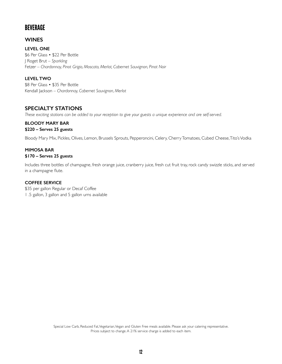# BEVERAGE

# **WINES**

**LEVEL ONE** \$6 Per Glass • \$22 Per Bottle J Roget Brut – *Sparkling* Fetzer – *Chardonnay, Pinot Grigio, Moscato, Merlot, Cabernet Sauvignon, Pinot Noir*

**LEVEL TWO** \$8 Per Glass • \$35 Per Bottle Kendall Jackson – *Chardonnay, Cabernet Sauvignon, Merlot*

# **SPECIALTY STATIONS**

*These exciting stations can be added to your reception to give your guests a unique experience and are self-served.*

# **BLOODY MARY BAR \$220 – Serves 25 guests**

Bloody Mary Mix, Pickles, Olives, Lemon, Brussels Sprouts, Pepperoncini, Celery, Cherry Tomatoes, Cubed Cheese, Tito's Vodka

# **MIMOSA BAR \$170 – Serves 25 guests**

Includes three bottles of champagne, fresh orange juice, cranberry juice, fresh cut fruit tray, rock candy swizzle sticks, and served in a champagne flute.

# **COFFEE SERVICE**

\$35 per gallon Regular or Decaf Coffee 1 .5 gallon, 3 gallon and 5 gallon urns available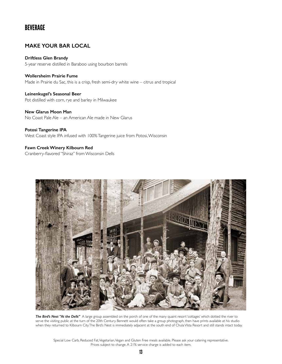# BEVERAGE

# **MAKE YOUR BAR LOCAL**

**Driftless Glen Brandy** 5-year reserve distilled in Baraboo using bourbon barrels

**Wollersheim Prairie Fume** Made in Prairie du Sac, this is a crisp, fresh semi-dry white wine – citrus and tropical

**Leinenkugel's Seasonal Beer** Pot distilled with corn, rye and barley in Milwaukee

**New Glarus Moon Man** No Coast Pale Ale – an American Ale made in New Glarus

**Potosi Tangerine IPA** West Coast style IPA infused with 100% Tangerine juice from Potosi, Wisconsin

**Fawn Creek Winery Kilbourn Red** Cranberry-flavored "Shiraz" from Wisconsin Dells



*The Bird's Nest "At the Dells"* A large group assembled on the porch of one of the many quaint resort 'cottages' which dotted the river to serve the visiting public at the turn of the 20th Century. Bennett would often take a group photograph, then have prints available at his studio when they returned to Kilbourn City. The Bird's Nest is immediately adjacent at the south end of Chula VIsta Resort and still stands intact today.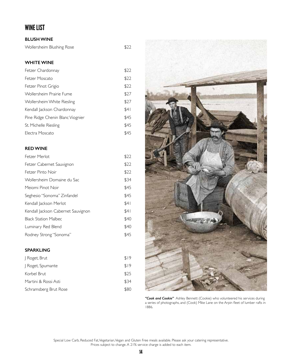# WINE LIST

# **BLUSH WINE**

Wollersheim Blushing Rose \$22

# **WHITE WINE**

| Fetzer Chardonnay                | \$22 |
|----------------------------------|------|
| Fetzer Moscato                   | \$22 |
| Fetzer Pinot Grigio              | \$22 |
| Wollersheim Prairie Fume         | \$27 |
| Wollersheim White Riesling       | \$27 |
| Kendall Jackson Chardonnay       | \$41 |
| Pine Ridge Chenin Blanc Viognier | \$45 |
| St. Michelle Riesling            | \$45 |
| Electra Moscato                  | \$45 |

# **RED WINE**

| Fetzer Merlot                      | \$22 |
|------------------------------------|------|
| Fetzer Cabernet Sauvignon          | \$22 |
| Fetzer Pinto Noir                  | \$22 |
| Wollersheim Domaine du Sac         | \$34 |
| Mejomi Pinot Noir                  | \$45 |
| Seghesio "Sonoma" Zinfandel        | \$45 |
| Kendall Jackson Merlot             | \$41 |
| Kendall Jackson Cabernet Sauvignon | \$41 |
| <b>Black Station Malbec</b>        | \$40 |
| Luminary Red Blend                 | \$40 |
| Rodney Strong "Sonoma"             | \$45 |

# **SPARKLING**

| J Roget, Brut         | \$19 |
|-----------------------|------|
| Roget, Spumante       | \$19 |
| Korbel Brut           | \$25 |
| Martini & Rossi Asti  | \$34 |
| Schramsberg Brut Rose | \$80 |



*"Cook and Cookie"* Ashley Bennett (Cookie) who volunteered his services during a series of photographs, and (Cook) Mike Lane on the Arpin fleet of lumber rafts in 1886.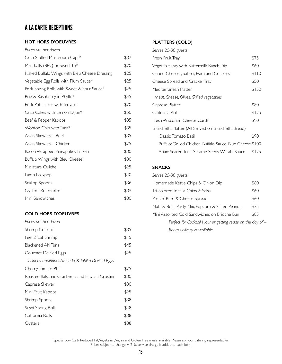# A LA CARTE RECEPTIONS

# **HOT HORS D'OEUVRES**

| Prices are per dozen                          |      |
|-----------------------------------------------|------|
| Crab Stuffed Mushroom Caps*                   | \$37 |
| Meatballs (BBQ or Swedish)*                   | \$20 |
| Naked Buffalo Wings with Bleu Cheese Dressing | \$25 |
| Vegetable Egg Rolls with Plum Sauce*          | \$25 |
| Pork Spring Rolls with Sweet & Sour Sauce*    | \$25 |
| Brie & Raspberry in Phyllo*                   | \$45 |
| Pork Pot sticker with Teriyaki                | \$20 |
| Crab Cakes with Lemon Dijon*                  | \$50 |
| Beef & Pepper Kabobs                          | \$35 |
| Wonton Chip with Tuna*                        | \$35 |
| Asian Skewers – Beef                          | \$35 |
| Asian Skewers – Chicken                       | \$25 |
| Bacon Wrapped Pineapple Chicken               | \$30 |
| Buffalo Wings with Bleu Cheese                | \$30 |
| Miniature Quiche                              | \$25 |
| Lamb Lollypop                                 | \$40 |
| Scallop Spoons                                | \$36 |
| Oysters Rockefeller                           | \$39 |
| Mini Sandwiches                               | \$30 |

# **COLD HORS D'OEUVRES**

| Prices are per dozen                                 |      |
|------------------------------------------------------|------|
| Shrimp Cocktail                                      | \$35 |
| Peel & Eat Shrimp                                    | \$15 |
| Blackened Ahi Tuna                                   | \$45 |
| Gourmet Deviled Eggs                                 | \$25 |
| Includes Traditional, Avocado, & Tobiko Deviled Eggs |      |
| Cherry Tomato BLT                                    | \$25 |
| Roasted Balsamic Cranberry and Havarti Crostini      | \$30 |
| Caprese Skewer                                       | \$30 |
| Mini Fruit Kabobs                                    | \$25 |
| Shrimp Spoons                                        | \$38 |
| Sushi Spring Rolls                                   | \$48 |
| California Rolls                                     | \$38 |
| Oysters                                              | \$38 |

# **PLATTERS (COLD)**

| Serves 25-30 guests                                        |       |
|------------------------------------------------------------|-------|
| Fresh Fruit Tray                                           | \$75  |
| Vegetable Tray with Buttermilk Ranch Dip                   | \$60  |
| Cubed Cheeses, Salami, Ham and Crackers                    | \$110 |
| Cheese Spread and Cracker Tray                             | \$50  |
| Mediterranean Platter                                      | \$150 |
| Meat, Cheese, Olives, Grilled Vegetables                   |       |
| Caprese Platter                                            | \$80  |
| California Rolls                                           | \$125 |
| Fresh Wisconsin Cheese Curds                               | \$90  |
| Bruschetta Platter (All Served on Bruschetta Bread)        |       |
| Classic: Tomato Basil                                      | \$90  |
| Buffalo: Grilled Chicken, Buffalo Sauce, Blue Cheese \$100 |       |
| Asian: Seared Tuna, Sesame Seeds, Wasabi Sauce             | \$125 |

# **SNACKS**

| Serves 25-30 guests                                        |      |
|------------------------------------------------------------|------|
| Homemade Kettle Chips & Onion Dip                          | \$60 |
| Tri-colored Tortilla Chips & Salsa                         | \$60 |
| Pretzel Bites & Cheese Spread                              | \$60 |
| Nuts & Bolts Party Mix, Popcorn & Salted Peanuts           | \$35 |
| Mini Assorted Cold Sandwiches on Brioche Bun               | \$85 |
| Perfect for Cocktail Hour or getting ready on the day of - |      |

*Room delivery is available.*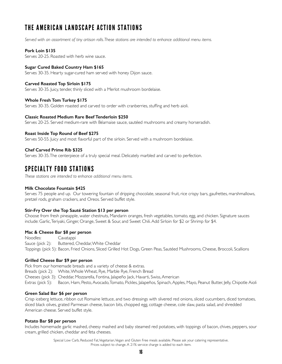# THE AMERICAN LANDSCAPE ACTION STATIONS

*Served with an assortment of tiny artisan rolls. These stations are intended to enhance additional menu items.* 

#### **Pork Loin \$135**

Serves 20-25. Roasted with herb wine sauce.

#### **Sugar Cured Baked Country Ham \$165**

Serves 30-35. Hearty sugar-cured ham served with honey Dijon sauce.

#### **Carved Roasted Top Sirloin \$175**

Serves 30-35. Juicy, tender, thinly sliced with a Merlot mushroom bordelaise.

#### **Whole Fresh Tom Turkey \$175**

Serves 30-35. Golden roasted and carved to order with cranberries, stuffing and herb aioli.

#### **Classic Roasted Medium Rare Beef Tenderloin \$250**

Serves 20-25. Served medium-rare with Béarnaise sauce, sautéed mushrooms and creamy horseradish.

#### **Roast Inside Top Round of Beef \$275**

Serves 50-55. Juicy and most flavorful part of the sirloin. Served with a mushroom bordelaise.

#### **Chef Carved Prime Rib \$325**

Serves 30-35. The centerpiece of a truly special meal. Delicately marbled and carved to perfection.

# SPECIALTY FOOD STATIONS

*These stations are intended to enhance additional menu items.*

#### **Milk Chocolate Fountain \$425**

Serves 75 people and up. Our towering fountain of dripping chocolate, seasonal fruit, rice crispy bars, gaufrettes, marshmallows, pretzel rods, graham crackers, and Oreos. Served buffet style.

#### **Stir-Fry Over the Top Sauté Station \$13 per person**

Choose from fresh pineapple, water chestnuts, Mandarin oranges, fresh vegetables, tomato, egg, and chicken. Signature sauces include: Garlic, Teriyaki, Ginger, Orange, Sweet & Sour, and Sweet Chili. Add Sirloin for \$2 or Shrimp for \$4.

#### **Mac & Cheese Bar \$8 per person**

Noodles: Cavatappi Sauce (pick 2): Buttered, Cheddar, White Cheddar Toppings (pick 5): Bacon, Fried Onions, Sliced Grilled Hot Dogs, Green Peas, Sautéed Mushrooms, Cheese, Broccoli, Scallions

#### **Grilled Cheese Bar \$9 per person**

Pick from our homemade breads and a variety of cheese & extras. Breads (pick 2): White, Whole Wheat, Rye, Marble Rye, French Bread Cheeses (pick 3): Cheddar, Mozzarella, Fontina, Jalapeño Jack, Havarti, Swiss, American Extras (pick 5): Bacon, Ham, Pesto, Avocado, Tomato, Pickles, Jalapeños, Spinach, Apples, Mayo, Peanut Butter, Jelly, Chipotle Aioli

#### **Green Salad Bar \$6 per person**

Crisp iceberg lettuce, ribbon cut Romaine lettuce, and two dressings with slivered red onions, sliced cucumbers, diced tomatoes, sliced black olives, grated Parmesan cheese, bacon bits, chopped egg, cottage cheese, cole slaw, pasta salad, and shredded American cheese. Served buffet style.

#### **Potato Bar \$8 per person**

Includes homemade garlic mashed, cheesy mashed and baby steamed red potatoes, with toppings of bacon, chives, peppers, sour cream, grilled chicken, cheddar and feta cheeses.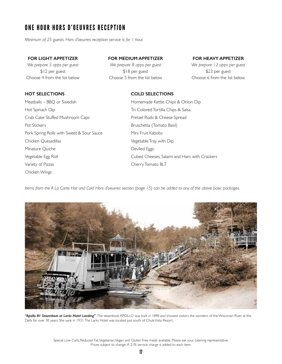# ONE HOUR HORS D'OEUVRES RECEPTION

*Minimum of 25 guests. Hors d'oeuvres reception service is for 1 hour.*

# **FOR LIGHT APPETIZER**

*We prepare 5 apps per guest* \$12 per guest Choose 4 from the list below

**HOT SELECTIONS**

# **FOR MEDIUM APPETIZER**

*We prepare 8 apps per guest* \$18 per guest Choose 5 from the list below

# **FOR HEAVY APPETIZER**

*We prepare 12 apps per guest* \$23 per guest Choose 6 from the list below

# **COLD SELECTIONS**

Meatballs – BBQ or Swedish Hot Spinach Dip Crab Cake Stuffed Mushroom Caps Pot Stickers Pork Spring Rolls with Sweet & Sour Sauce Chicken Quesadillas Minature Quiche Vegetable Egg Roll Variety of Pizzas Chicken Wings

Homemade Kettle Chips & Onion Dip Tri-Colored Tortilla Chips & Salsa Pretzel Rods & Cheese Spread Bruschetta (Tomato Basil) Mini Fruit Kabobs Vegetable Tray with Dip Deviled Eggs Cubed Cheeses, Salami and Ham with Crackers Cherry Tomato BLT

*Items from the A La Carte Hot and Cold Hors d'oeuvres section (page 15) can be added to any of the above basic packages.*



*"Apollo #1 Steamboat at Larks Hotel Landing"* The steamboat APOLLO was built in 1898 and showed visitors the wonders of the Wisconsin River at the Dells for over 30 years. She sank in 1931. The Larks Hotel was located just south of Chula Vista Resort.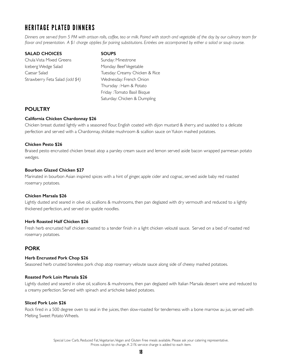*Dinners are served from 5 PM with artisan rolls, coffee, tea or milk. Paired with starch and vegetable of the day by our culinary team for flavor and presentation. A \$1 charge applies for pairing substitutions. Entrées are accompanied by either a salad or soup course.*

| <b>SALAD CHOICES</b>            | <b>SOUPS</b>                   |
|---------------------------------|--------------------------------|
| Chula Vista Mixed Greens        | Sunday: Minestrone             |
| Iceberg Wedge Salad             | Monday: Beef Vegetable         |
| Caesar Salad                    | Tuesday: Creamy Chicken & Rice |
| Strawberry Feta Salad (add \$4) | Wednesday: French Onion        |
|                                 | Thursday : Ham & Potato        |
|                                 | Friday: Tomato Basil Bisque    |
|                                 | Saturday: Chicken & Dumpling   |

# **POULTRY**

# **California Chicken Chardonnay \$26**

Chicken breast dusted lightly with a seasoned flour, English coated with dijon mustard & sherry, and sautéed to a delicate perfection and served with a Chardonnay, shiitake mushroom & scallion sauce on Yukon mashed potatoes.

# **Chicken Pesto \$26**

Braised pesto encrusted chicken breast atop a parsley cream sauce and lemon served aside bacon wrapped parmesan potato wedges.

# **Bourbon Glazed Chicken \$27**

Marinated in bourbon Asian inspired spices with a hint of ginger, apple cider and cognac, served aside baby red roasted rosemary potatoes.

# **Chicken Marsala \$26**

Lightly dusted and seared in olive oil, scallions & mushrooms, then pan deglazed with dry vermouth and reduced to a lightly thickened perfection, and served on spatzle noodles.

# **Herb Roasted Half Chicken \$26**

Fresh herb encrusted half chicken roasted to a tender finish in a light chicken velouté sauce. Served on a bed of roasted red rosemary potatoes.

# **PORK**

# **Herb Encrusted Pork Chop \$26**

Seasoned herb crusted boneless pork chop atop rosemary veloute sauce along side of cheesy mashed potatoes.

# **Roasted Pork Loin Marsala \$26**

Lightly dusted and seared in olive oil, scallions & mushrooms, then pan deglazed with Italian Marsala dessert wine and reduced to a creamy perfection. Served with spinach and artichoke baked potatoes.

# **Sliced Pork Loin \$26**

Rock fired in a 500 degree oven to seal in the juices, then slow-roasted for tenderness with a bone marrow au jus, served with Melting Sweet Potato Wheels.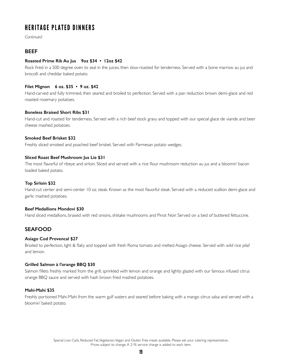*Continued*

# **BEEF**

# **Roasted Prime Rib Au Jus 9oz \$34 • 12oz \$42**

Rock fired in a 500 degree oven to seal in the juices, then slow-roasted for tenderness. Served with a bone marrow au jus and brocolli and cheddar baked potato.

# **Filet Mignon 6 oz. \$35 • 9 oz. \$42**

Hand-carved and fully trimmed, then seared and broiled to perfection. Served with a pan reduction brown demi-glace and red roasted rosemary potatoes.

# **Boneless Braised Short Ribs \$31**

Hand-cut and roasted for tenderness. Served with a rich beef stock gravy and topped with our special glace de viande and beer cheese mashed potatoes.

# **Smoked Beef Brisket \$32**

Freshly sliced smoked and poached beef brisket. Served with Parmesan potato wedges.

# **Sliced Roast Beef Mushroom Jus Lie \$31**

The most flavorful of ribeye and sirloin. Sliced and served with a rice flour mushroom reduction au jus and a bloomin' bacon loaded baked potato.

# **Top Sirloin \$32**

Hand-cut center and semi-center 10 oz. steak. Known as the most flavorful steak. Served with a reduced scallion demi-glace and garlic mashed potatoes.

# **Beef Medallions Mondovi \$30**

Hand sliced medallions, braised with red onions, shiitake mushrooms and Pinot Noir. Served on a bed of buttered fettuccine.

# **SEAFOOD**

# **Asiago Cod Provencal \$27**

Broiled to perfection, light & flaky and topped with fresh Roma tomato and melted Asiago cheese. Served with wild rice pilaf and lemon.

# **Grilled Salmon à l'orange BBQ \$30**

Salmon fillets freshly marked from the grill, sprinkled with lemon and orange and lightly glazed with our famous infused citrus orange BBQ sauce and served with hash brown fried mashed potatoes.

# **Mahi-Mahi \$35**

Freshly portioned Mahi-Mahi from the warm gulf waters and seared before baking with a mango citrus salsa and served with a bloomin' baked potato.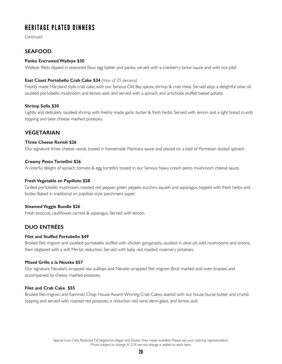*Continued*

# **SEAFOOD**

# **Panko Encrusted Walleye \$30**

Walleye fillets dipped in seasoned flour, egg batter and panko, served with a cranberry tartar sauce and wild rice pilaf.

# **East Coast Portobello Crab Cake \$34** *(max of 25 persons)*

Freshly made Maryland style crab cake, with our famous Old Bay spices, shrimp & crab meat. Served atop a delightful olive oil sautéed portobello mushroom and lemon aioli, and served with a spinach and artichoke stuffed baked potato.

# **Shrimp Sofia \$30**

Lightly and delicately sautéed shrimp with freshly made garlic butter & fresh herbs. Served with lemon and a light bread crumb topping and beer cheese mashed potatoes.

# **VEGETARIAN**

# **Three Cheese Ravioli \$26**

Our signature three cheese ravioli, tossed in homemade Marinara sauce and placed on a bed of Parmesan dusted spinach.

# **Creamy Pesto Tortellini \$26**

A colorful delight of spinach, tomato & egg tortellini tossed in our famous heavy cream pesto mushroom cheese sauce.

# **Fresh Vegetable en Papillote \$28**

Grilled portobello mushroom, roasted red pepper, green pepper, zucchini, squash and asparagus, topped with fresh herbs and butter. Baked in traditional *en papillote* style parchment paper.

# **Steamed Veggie Bundle \$26**

Fresh broccoli, cauliflower, carrots & asparagus. Served with lemon.

# **DUO ENTRÉES**

# **Filet and Stuffed Portobello \$49**

Broiled filet mignon and sautéed portobello stuffed with chicken gorganzola, sautéed in olive oil, wild mushrooms and onions, then deglazed with a soft Merlot reduction. Served with baby red roasted rosemary potatoes.

# **Mixed Grille a la Neuske \$57**

Our signature Neuske's wrapped sea scallops and Neuske wrapped filet mignon. Broil marked and oven braised, and accompanied by cheesy mashed potatoes.

# **Filet and Crab Cake \$55**

Broiled filet mignon and Kaminski Chop House Award-Winning Crab Cakes, seared with our house burse butter and crumb topping and served with roasted red potatoes, a reduction red wine demi-glace, and lemon aioli.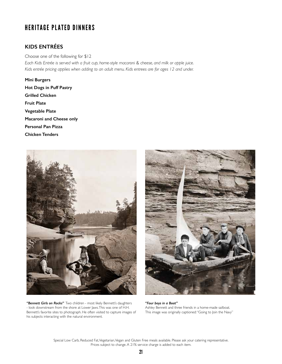# **KIDS ENTRÉES**

Choose one of the following for \$12 *Each Kids Entrée is served with a fruit cup, home-style macaroni & cheese, and milk or apple juice. Kids entrée pricing applies when adding to an adult menu. Kids entrees are for ages 12 and under.*

**Mini Burgers Hot Dogs in Puff Pastry Grilled Chicken Fruit Plate Vegetable Plate Macaroni and Cheese only Personal Pan Pizza Chicken Tenders**



*"Bennett Girls on Rocks"* Two children - most likely Bennett's daughters - look downstream from the shore at Lower Jaws. This was one of H.H. Bennett's favorite sites to photograph. He often visited to capture images of his subjects interacting with the natural environment.



*"Four boys in a Boat"* Ashley Bennett and three friends in a home-made sailboat. This image was originally captioned: "Going to Join the Navy"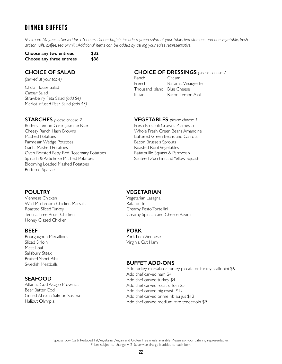# DINNER BUFFETS

*Minimum 50 guests. Served for 1.5 hours. Dinner buffets include a green salad at your table, two starches and one vegetable, fresh artisan rolls, coffee, tea or milk. Additional items can be added by asking your sales representative.*

# **Choose any two entrees \$32 Choose any three entrees \$36**

# **CHOICE OF SALAD**

*(served at your table)*

Chula House Salad Caesar Salad Strawberry Feta Salad *(add \$4)* Merlot infused Pear Salad *(add \$5)*

# **STARCHES** *please choose 2*

Buttery Lemon Garlic Jasmine Rice Cheesy Ranch Hash Browns Mashed Potatoes Parmesan Wedge Potatoes Garlic Mashed Potatoes Oven Roasted Baby Red Rosemary Potatoes Spinach & Artichoke Mashed Potatoes Blooming Loaded Mashed Potatoes Buttered Spatzle

# **POULTRY**

Viennese Chicken Wild Mushroom Chicken Marsala Roasted Sliced Turkey Tequila Lime Roast Chicken Honey Glazed Chicken

# **BEEF**

Bourguignon Medallions Sliced Sirloin Meat Loaf Salisbury Steak Braised Short Ribs

# **SEAFOOD**

Atlantic Cod Asiago Provencal Beer Batter Cod Grilled Alaskan Salmon Susitna Halibut Olympia

# **CHOICE OF DRESSINGS** *please choose 2*

Ranch Caesar<br>French Balsami Balsamic Vinaigrette Thousand Island Blue Cheese Italian Bacon Lemon Aioli

# **VEGETABLES** *please choose 1*

Fresh Broccoli Crowns Parmesan Whole Fresh Green Beans Amandine Buttered Green Beans and Carrots Bacon Brussels Sprouts Roasted Root Vegetables Ratatouille Squash & Parmesan Sauteed Zucchini and Yellow Squash

# **VEGETARIAN**

Vegetarian Lasagna **Ratatouille** Creamy Pesto Tortellini Creamy Spinach and Cheese Ravioli

# **PORK**

Pork Loin Viennese Virginia Cut Ham

# **BUFFET ADD-ONS**

Add turkey marsala or turkey piccata or turkey scallopini \$6 Add chef carved ham \$4 Add chef carved turkey \$4 Add chef carved roast sirloin \$5 Add chef carved pig roast \$12 Add chef carved prime rib au jus \$12 Add chef carved medium rare tenderloin \$9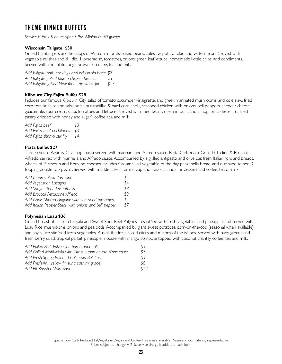# THEME DINNER BUFFETS

*Service is for 1.5 hours after 5 PM. Minimum 50 guests.*

# **Wisconsin Tailgate \$30**

Grilled hamburgers and hot dogs or Wisconsin brats, baked beans, coleslaw, potato salad and watermelon. Served with vegetable relishes and dill dip. Horseradish, tomatoes, onions, green leaf lettuce, homemade kettle chips, and condiments. Served with chocolate fudge brownies, coffee, tea and milk.

*Add Tailgate both hot dogs and Wisconsin brats \$2 Add Tailgate grilled plump chicken breasts \$3 Add Tailgaite grilled New York strip steak for \$13*

# **Kilbourn City Fajita Buffet \$28**

Includes our famous Kilbourn City salad of tomato cucumber vinaigrette, and greek marinated mushrooms, and cole slaw, fried corn tortilla chips and salsa, soft flour tortillas & hard corn shells, seasoned chicken with onions, bell peppers, cheddar cheese, guacamole, sour cream, salsa, tomatoes and lettuce. Served with fried beans, rice and our famous Sopapillas dessert (a fried pastry drizzled with honey and sugar), coffee, tea and milk.

*Add Fajita beef \$3 Add Fajita beef enchiladas \$3 Add Fajita shrimp stir fry \$4*

# **Pasta Buffet \$27**

Three cheese Raviolis, Cavatappi pasta served with marinara and Alfredo sauce, Pasta Carbonara, Grilled Chicken & Broccoli Alfredo, served with marinara and Alfredo sauce. Accompanied by a grilled antipasto and olive bar, fresh Italian rolls and breads, wheels of Parmesan and Romano cheeses. Includes Caesar salad, vegetable of the day, panzenella bread, and our hand tossed 3 topping double top pizza's. Served with marble cake, tiramisu cup and classic cannoli for dessert and coffee, tea or milk.

| Add Creamy Pesto Tortellini                          | \$4 |
|------------------------------------------------------|-----|
| Add Vegetarian Lasagna                               | \$4 |
| Add Spaghetti and Meatballs                          | \$3 |
| Add Broccoli Fettuccine Alfredo                      | \$3 |
| Add Garlic Shrimp Linguine with sun dried tomatoes   | \$4 |
| Add Italian Pepper Steak with onions and bell pepper | \$7 |

# **Polynesian Luau \$36**

Grilled breast of chicken teriyaki and Sweet Sour Beef Polynesian sautéed with fresh vegetables and pineapple, and served with Luau Rice, mushrooms onions and pea pods. Accompanied by giant sweet potatoes, corn-on-the-cob (seasonal when available) and soy sauce stir-fried fresh vegetables. Plus all the fresh sliced citrus and melons of the islands. Served with baby greens and fresh berry salad, tropical parfait, pineapple mousse with mango compote topped with coconut chantily, coffee, tea and milk.

| Add Pulled Pork Polynesian homemade rolls                  | \$5  |
|------------------------------------------------------------|------|
| Add Grilled Mahi-Mahi with Citrus lemon beurre blanc sauce | \$7  |
| Add Fresh Spring Roll and California Roll Sushi            | \$5  |
| Add Fresh Ahi (yellow fin tuna sashimi grade)              | \$8  |
| Add Pit Roasted Wild Boar                                  | \$12 |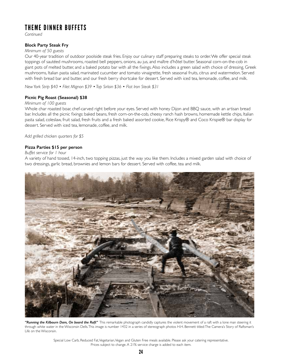# THEME DINNER BUFFETS

*Continued*

# **Block Party Steak Fry**

#### *Minimum of 50 guests*

Our 40-year tradition of outdoor poolside steak fries. Enjoy our culinary staff preparing steaks to order. We offer special steak toppings of sautéed mushrooms, roasted bell peppers, onions, au jus, and maître d'hôtel butter. Seasonal corn-on-the-cob in giant pots of melted butter, and a baked potato bar with all the fixings. Also includes a green salad with choice of dressing, Greek mushrooms, Italian pasta salad, marinated cucumber and tomato vinaigrette, fresh seasonal fruits, citrus and watermelon. Served with fresh bread bar and butter, and our fresh berry shortcake for dessert. Served with iced tea, lemonade, coffee, and milk.

*New York Strip \$40 • Filet Mignon \$39 • Top Sirloin \$36 • Flat Iron Steak \$31*

# **Picnic Pig Roast (Seasonal) \$38**

# *Minimum of 100 guests*

Whole char roasted boar, chef-carved right before your eyes. Served with honey Dijon and BBQ sauce, with an artisan bread bar. Includes all the picnic fixings: baked beans, fresh corn-on-the-cob, cheesy ranch hash browns, homemade kettle chips, Italian pasta salad, coleslaw, fruit salad, fresh fruits and a fresh baked assorted cookie, Rice Krispy® and Coco Krispie® bar display for dessert. Served with iced tea, lemonade, coffee, and milk.

*Add grilled chicken quarters for \$5*

# **Pizza Parties \$15 per person**

# *Buffet service for 1 hour*

A variety of hand tossed, 14-inch, two topping pizzas, just the way you like them. Includes a mixed garden salad with choice of two dressings, garlic bread, brownies and lemon bars for dessert. Served with coffee, tea and milk.



*"Running the Kilbourn Dam, On board the Raft"* This remarkable photograph candidly captures the violent movement of a raft with a lone man steering it through white water in the Wisconsin Dells. This image is number 1432 in a series of stereograph photos H.H. Bennett titled: The Camera's Story of Raftsman's Life on the Wisconsin.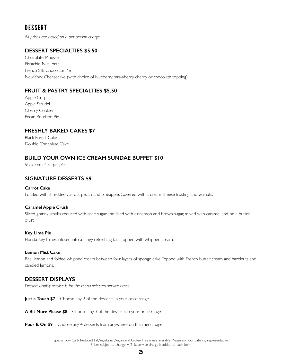# **DESSERT**

*All prices are based on a per person charge*

# **DESSERT SPECIALTIES \$5.50**

Chocolate Mousse Pistachio Nut Torte French Silk Chocolate Pie New York Cheesecake (with choice of blueberry, strawberry, cherry, or chocolate topping)

# **FRUIT & PASTRY SPECIALTIES \$5.50**

Apple Crisp Apple Strudel Cherry Cobbler Pecan Bourbon Pie

# **FRESHLY BAKED CAKES \$7**

Black Forest Cake Double Chocolate Cake

# **BUILD YOUR OWN ICE CREAM SUNDAE BUFFET \$10**

*Minimum of 75 people*

# **SIGNATURE DESSERTS \$9**

# **Carrot Cake**

Loaded with shredded carrots, pecan, and pineapple. Covered with a cream cheese frosting and walnuts.

# **Caramel Apple Crush**

Sliced granny smiths reduced with cane sugar and filled with cinnamon and brown sugar, mixed with caramel and on a butter crust.

# **Key Lime Pie**

Florida Key Limes infused into a tangy, refreshing tart. Topped with whipped cream.

# **Lemon Mist Cake**

Real lemon and folded whipped cream between four layers of sponge cake. Topped with French butter cream and hazelnuts and candied lemons.

# **DESSERT DISPLAYS**

*Dessert display service is for the menu selected service times.*

**Just a Touch \$7** – Choose any 2 of the desserts in your price range

**A Bit More Please \$8** – Choose any 3 of the desserts in your price range

**Pour It On \$9** – Choose any 4 desserts from anywhere on this menu page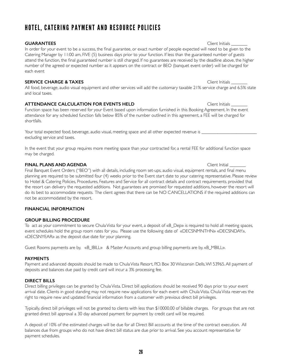# HOTEL, CATERING PAYMENT AND RESOURCE POLICIES

# **GUARANTEES** Client Initials **Client Initials**

and local taxes.

In order for your event to be a success, the final guarantee, or exact number of people expected will need to be given to the Catering Manager by 11:00 am, FIVE (5) business days prior to your function. If less than the guaranteed number of guests attend the function, the final guaranteed number is still charged. If no guarantees are received by the deadline above, the higher number of the agreed or expected number as it appears on the contract or BEO (banquet event order) will be charged for each event

# **SERVICE CHARGE & TAXES Client Initials Client Initials**

# **ATTENDANCE CALCULATION FOR EVENTS HELD Client Initials Client Initials**

Function space has been reserved for your Event based upon information furnished in this Booking Agreement. In the event attendance for any scheduled function falls below 85% of the number outlined in this agreement, a FEE will be charged for shortfalls.

Your total expected food, beverage, audio visual, meeting space and all other expected revenue is excluding service and taxes.

In the event that your group requires more meeting space than your contracted for, a rental FEE for additional function space may be charged.

# **FINAL PLANS AND AGENDA Client Initial**  $\blacksquare$

Final Banquet Event Orders ("BEO") with all details, including room set-ups, audio visual, equipment rentals, and final menu planning are required to be submitted four (4) weeks prior to the Event start date to your catering representative. Please review to Hotel & Catering Policies, Procedures, Features and Service for all contract details and contract requirements. provided that the resort can delivery the requested additions. Not guarantees are promised for requested additions, however the resort will do its best to accommodate requests. The client agrees that there can be NO CANCELLATIONS if the required additions can not be accommodated by the resort.

# **FINANCIAL INFORMATION**

# **GROUP BILLING PROCEDURE**

To act as your commitment to secure Chula Vista for your event, a deposit of «B\_Dep» is required to hold all meeting spaces, event schedules hold the group room rates for you. Please use the following date of «DECSNMNTHN» «DECSNDAY», «DECSNYEAR» as the deposit due date for your planning.

Guest Rooms payments are by, «B\_IBILL» & Master Accounts and group billing payments are by, «B\_MBILL».

# **PAYMENTS**

Payment and advanced deposits should be made to Chula Vista Resort, P.O. Box 30 Wisconsin Dells, WI 53965. All payment of deposits and balances due paid by credit card will incur a 3% processing fee.

# **DIRECT BILLS**

Direct billing privileges can be granted by Chula Vista. Direct bill applications should be received 90 days prior to your event arrival date. Clients in good standing may not require new applications for each event with Chula Vista. Chula Vista reserves the right to require new and updated financial information from a customer with previous direct bill privileges.

Typically, direct bill privileges will not be granted to clients with less than \$10000.00 of billable charges. For groups that are not granted direct bill approval a 30 day advanced payment for payment by credit card will be required.

A deposit of 10% of the estimated charges will be due for all Direct Bill accounts at the time of the contract execution. All balances due from groups who do not have direct bill status are due prior to arrival. See you account representative for payment schedules.

All food, beverage, audio visual equipment and other services will add the customary taxable 21% service charge and 6.5% state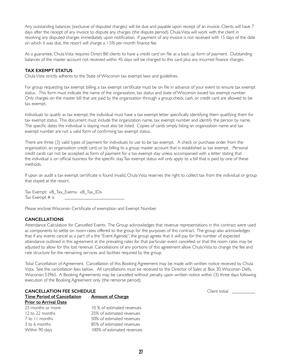Any outstanding balances (exclusive of disputed charges) will be due and payable upon receipt of an invoice. Clients will have 7 days after the receipt of any invoice to dispute any charges (the dispute period). Chula Vista will work with the client in resolving any disputed charges immediately upon notification. If payment of any invoice is not received with 15 days of the date on which it was due, the resort will charge a 1.5% per month finance fee.

As a guarantee, Chula Vista requires Direct Bill clients to have a credit card on file as a back up form of payment. Outstanding balances of the master account not received within 45 days will be charged to this card plus any incurred finance charges.

#### **TAX EXEMPT STATUS**

Chula Vista strictly adheres to the State of Wisconsin tax exempt laws and guidelines.

For group requesting tax exempt billing, a tax exempt certificate must be on file in advance of your event to ensure tax exempt status. This form must indicate the name of the organization, tax status and state of Wisconsin issued tax exempt number. Only charges on the master bill that are paid by the organization through a group check, cash, or credit card are allowed to be tax exempt.

Individuals to qualify as tax exempt, the individual must have a tax exempt letter specifically identifying them qualifying them for tax exempt status. This document must include the organization name, tax exempt number and identify the person by name. The specific dates the individual is staying must also be listed. Copies of cards simply listing an organization name and tax exempt number are not a valid form of confirming tax exempt status.

There are three (3) valid types of payment for individuals to use to be tax exempt. A check or purchase order from the organization, an organization credit card, or by billing to a group master account that is established as tax exempt. Personal credit cards can not be accepted as form of payment for a tax exempt stay unless accompanied with a letter stating that the individual is on official business for the specific stay. Tax exempt status will only apply to a bill that is paid by one of these methods.

If upon an audit a tax exempt certificate is found invalid, Chula Vista reserves the right to collect tax from the individual or group that stayed at the resort.

Tax Exempt: «B\_Tax\_Exem» «B\_Tax\_ID» Tax Exempt # is

Please enclose Wisconsin Certificate of exemption and Exempt Number.

# **CANCELLATIONS**

Attendance Calculation for Cancelled Events. The Group acknowledges that revenue representations in this contract were used as components to settle on room rates offered to the group for the purposes of this contract. The group also acknowledges that if any events cancel as a part of a the "Event Agenda", the group agrees that it will pay for the number of expected attendance outlined in this agreement at the prevailing rates for that particular event cancelled, or that the room rates may be adjusted to allow for this lost revenue. Cancellations of any portions of this agreement allow Chula Vista to change the fee and rate structure for the remaining services and facilities required by the group.

Total Cancellation of Agreement. Cancellation of this Booking Agreement may be made with written notice received by Chula Vista. See the cancellation fees below. All cancellations must be received to the Director of Sales at Box 30, Wisconsin Dells, Wisconsin 53965. A Booking Agreements may be cancelled without penalty upon written notice within (3) three days following execution of the Booking Agreement only (the remorse period).

| <b>CANCELLATION FEE SCHEDULE</b>   |                            |  |
|------------------------------------|----------------------------|--|
| <b>Time Period of Cancellation</b> | <b>Amount of Charge</b>    |  |
| <b>Prior to Arrival Date</b>       |                            |  |
| 23 months or more                  | 10 % of estimated revenues |  |
| $12$ to 22 months                  | 25% of estimated revenues  |  |
| 7 to 11 months                     | 50% of estimated revenues  |  |
| 3 to 6 months                      | 85% of estimated revenues  |  |
| Within 90 days                     | 100% of estimated revenues |  |

**Client Initial**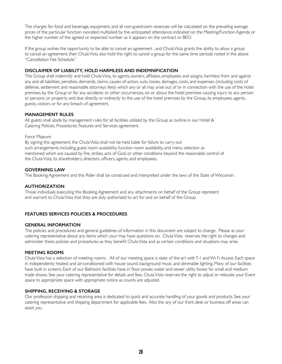The charges for food and beverage, equipment, and all non-guestroom revenues will be calculated on the prevailing average prices of the particular function canceled multiplied by the anticipated attendance indicated on the Meeting/Function Agenda or the higher number of the agreed or expected number as it appears on the contract or BEO.

If the group wishes the opportunity to be able to cancel an agreement , and Chula Vista grants the ability to allow a group to cancel an agreement, then Chula Vista also hold the right to cancel a group for the same time periods noted in the above "Cancellation Fee Schedule."

# **DISCLAIMER OF LIABILITY, HOLD HARMLESS AND INDEMNIFICATION**

The Group shall indemnify and hold Chula Vista, its agents, owners, affiliates, employees and assigns, harmless from and against any and all liabilities, penalties, demands, claims, causes of action, suits, losses, damages, costs, and expenses (including costs of defense, settlement and reasonable attorneys fees) which any or all may arise out of or in connection with the use of the hotel premises by the Group or for any accidents or other occurrences, on or about the hotel premises causing injury to any person or persons, or property and due directly or indirectly to the use of the hotel premises by the Group, its employees, agents, guests, visitors or for any breach of agreement.

# **MANAGEMENT RULES**

All guests shall abide by management rules for all facilities utilized by the Group as outline in our Hotel & Catering Policies, Procedures, Features and Services agreement.

# Force Majeure

By signing this agreement, the Chula Vista shall not be held liable for failure to carry out such arrangements including guest room availability, function room availability, and menu selection as mentioned which are caused by fire, strikes, acts of God, or other conditions beyond the reasonable control of the Chula Vista, its shareholders, directors, officers, agents, and employees.

# **GOVERNING LAW**

The Booking Agreement and this Rider shall be construed and interpreted under the laws of the State of Wisconsin.

# **AUTHORIZATION**

Those individuals executing this Booking Agreement and any attachments on behalf of the Group represent and warrant to Chula Vista that they are duly authorized to act for and on behalf of the Group.

# **FEATURES SERVICES POLICIES & PROCEDURES**

# **GENERAL INFORMATION**

The policies and procedures and general guidelines of information in this document are subject to change. Please as your catering representative about any items which your may have questions on. Chula Vista reserves the right to changes and administer these policies and procedures as they benefit Chula Vista and as certain conditions and situations may arise.

# **MEETING ROOMS**

Chula Vista has a selection of meeting rooms. All of our meeting space is state of the art with T-1 and Wi Fi Access. Each space in independently heated and air-conditioned with house sound, background music and dimmable lighting. Many of our facilities have built in screens. Each of our Ballroom facilities have in floor power, water and sewer utility boxes for small and medium trade shows. See your catering representative for details and fees. Chula Vista reserves the right to adjust or relocate your Event space to appropriate space with appropriate notice as counts are adjusted.

#### **SHIPPING, RECEIVING & STORAGE**

Our profession shipping and receiving area is dedicated to quick and accurate handling of your goods and products. See your catering representative and shipping department for applicable fees. Also the any of our front desk or business off areas can assist you.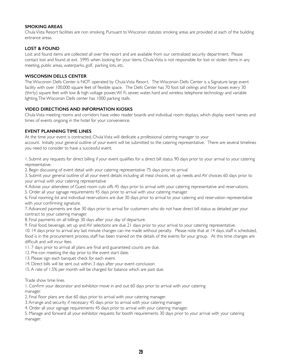# **SMOKING AREAS**

Chula Vista Resort facilities are non smoking. Pursuant to Wisconsin statutes smoking areas are provided at each of the building entrance areas.

# **LOST & FOUND**

Lost and found items are collected all over the resort and are available from our centralized security department. Please contact lost and found at ext. 5995 when looking for your items. Chula Vista is not responsible for lost or stolen items in any meeting, public areas, waterparks, golf, parking lots, etc.

# **WISCONSIN DELLS CENTER**

The Wisconsin Dells Center is NOT operated by Chula Vista Resort. The Wisconsin Dells Center is a Signature large event facility with over 100,000 square feet of flexible space. The Dells Center has 70 foot tall ceilings and floor boxes every 30 (thirty) square feet with low & high voltage power, Wi Fi, sewer, water, hard and wireless telephone technology and variable lighting. The Wisconsin Dells center has 1000 parking stalls.

# **VIDEO DIRECTIONS AND INFORMATION KIOSKS**

Chula Vista meeting rooms and corridors have video reader boards and individual room displays, which display event names and times of events ongoing in the hotel for your convenience.

# **EVENT PLANNING TIME LINES**

At the time your event is contracted, Chula Vista will dedicate a professional catering manager to your

account. Initially your general outline of your event will be submitted to the catering representative. There are several timelines you need to consider to have a successful event.

1. Submit any requests for direct billing if your event qualifies for a direct bill status 90 days prior to your arrival to your catering representative.

2. Begin discussing of event detail with your catering representative 75 days prior to arrival

3. Submit your general outline of all your event details including all meal choices, set up needs and AV choices 60 days prior to your arrival with your catering representative

4. Advise your attendees of Guest room cuts offs 45 days prior to arrival with your catering representative and reservations.

5. Order all your signage requirements 45 days prior to arrival with your catering manager.

6. Final rooming list and individual reservations are due 30 days prior to arrival to your catering and reservation representative with your confirming signature.

7. Advanced payments are due 30 days prior to arrival for customers who do not have direct bill status as detailed per your contract to your catering manager.

8. Final payments on all billings 30 days after your day of departure.

9. Final food, beverage, set up and AV selections are due 21 days prior to your arrival to your catering representative.

10. 14 days prior to arrival any last minute changes can me made without penalty. Please note that at 14 days, staff is scheduled, food is in the procurement process, staff has been trained on the details of the events for your group. At this time changes are difficult and will incur fees.

11. 7 days prior to arrival all plans are final and guaranteed counts are due.

12. Pre-con meeting the day prior to the event start date.

13. Please sign each banquet check for each event.

14. Direct bills will be sent out within 3 days after your event conclusion

15. A rate of 1.5% per month will be charged for balance which are past due.

Trade show time lines

1. Confirm your decorator and exhibitor move in and out 60 days prior to arrival with your catering manager.

2. Final floor plans are due 60 days prior to arrival with your catering manager.

3. Arrange and security if necessary 45 days prior to arrival with your catering manager.

4. Order all your signage requirements 45 days prior to arrival with your catering manager.

5. Manage and forward all your exhibitor requests for booth requirements 30 days prior to your arrival with your catering manager.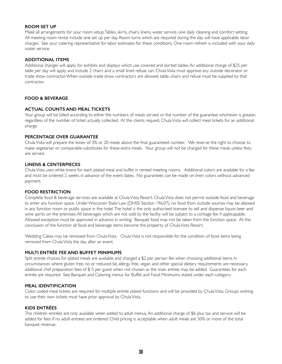# **ROOM SET UP**

Make all arrangements for your room setup. Tables, skirts, chairs, linens, water service, one daily cleaning and comfort setting. All meeting room rental include one set up per day. Room turns which are required during the day will have applicable labor charges. See your catering representative for labor estimates for these conditions. One room refresh is included with your daily water service.

#### **ADDITIONAL ITEMS**

Additional charges will apply for exhibits and displays which use covered and skirted tables. An additional charge of \$25 per table per day will apply and include 2 chairs and a small lined refuse can. Chula Vista must approve any outside decorator or trade show contractor. When outside trade show contractors are allowed, table, chairs and refuse must be supplied by that contractor.

# **FOOD & BEVERAGE**

#### **ACTUAL COUNTS AND MEAL TICKETS**

Your group will be billed according to either the numbers of meals served, or the number of the guarantee whichever is greater, regardless of the number of ticket actually collected. At the clients request, Chula Vista will collect meal tickets for an additional charge.

# **PERCENTAGE OVER GUARANTEE**

Chula Vista will prepare the lesser of 3% or 20 meals above the final guaranteed number. We reserve the right to choose to make vegetarian or comparable substitutes for these extra meals. Your group will not be charged for these meals unless they are served.

# **LINENS & CENTERPIECES**

Chula Vista uses white linens for each plated meal and buffet in rented meeting rooms. Additional colors are available for a fee and must be ordered 2 weeks in advance of the event dates. No guarantees can be made on linen colors without advanced payment.

# **FOOD RESTRICTION**

Complete food & beverage services are available at Chula Vista Resort. Chula Vista does not permit outside food and beverage to enter any function space. Under Wisconsin State Law (DHSS Section 196.07), no food from outside sources may be allowed in any function room or public space in the hotel. The hotel is the only authorized licensee to sell and dispense liquor, beer and wine spirits on the premises. All beverages which are not sold by the facility will be subject to a corkage fee if applicapable. Allowed exception must be approved in advance in writing. Banquet food may not be taken from the function space. At the conclusion of the function all food and beverage items become the property of Chula Vista Resort.

Wedding Cakes may be removed from Chula Vista. Chula Vista is not responsible for the condition of food items being removed from Chula Vista the day after an event.

# **MULTI ENTRÉE FEE AND BUFFET MINIMUMS**

Split entrée choices for plated meals are available and charged a \$2 per person fee when choosing additional items. In circumstances where gluten free, no or reduced fat, allergy free, vegan and other special dietary requirements are necessary, additional chef preparation fees of \$ 5 per guest when not chosen as the main entree may be added. Guarantees for each entrée are required. See Banquet and Catering menus for Buffet and Food Minimums stated under each category.

#### **MEAL IDENTIFICATION**

Color coded meal tickets are required for multiple entrée plated functions and will be provided by Chula Vista. Groups wishing to use their own tickets must have prior approval by Chula Vista.

# **KIDS ENTRÉES**

The children entrées are only available when added to adult menus. An additional charge of \$6 plus tax and service will be added for fees if no adult entrees are ordered. Child pricing is acceptable when adult meals are 50% or more of the total banquet revenue.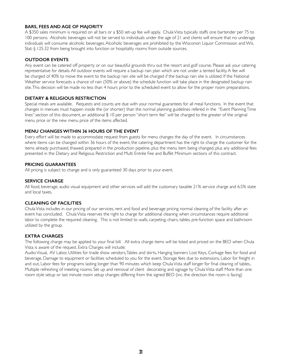# **BARS, FEES AND AGE OF MAJORITY**

A \$350 sales minimum is required on all bars or a \$50 set-up fee will apply. Chula Vista typically staffs one bartender per 75 to 100 persons. Alcoholic beverages will not be served to individuals under the age of 21 and clients will ensure that no underage individuals will consume alcoholic beverages. Alcoholic beverages are prohibited by the Wisconsin Liquor Commission and Wis. Stat. § 125.32 from being brought into function or hospitality rooms from outside sources.

# **OUTDOOR EVENTS**

Any event can be catered off property or on our beautiful grounds thru out the resort and golf course. Please ask your catering representative for details. All outdoor events will require a backup rain plan which are not under a tented facility. A fee will be charged of 40% to move the event to the backup rain site will be charged if the backup rain site is utilized. If the National Weather service forecasts a chance of rain (50% or above) the schedule function will take place in the designated backup rain site. This decision will be made no less than 4 hours prior to the scheduled event to allow for the proper room preparations.

# **DIETARY & RELIGIOUS RESTRICTION**

Special meals are available. Requests and counts are due with your normal guarantees for all meal functions. In the event that changes in menues must happen inside the (or shorter) than the normal planning guidelines refered in the "Event Planning Time lines" section of this document, an additional \$ 10 per person "short term fee" will be charged to the greater of the original menu price or the new menu price of the items affected.

# **MENU CHANGES WITHIN 36 HOURS OF THE EVENT**

Every effort will be made to accommodate request from guests for menu changes the day of the event. In circumstances where items can be changed within 36 hours of the event, the catering department has the right to charge the customer for the items already purchased, thawed, prepared in the production pipeline, plus the menu item being changed, plus any additional fees presented in the Dietary and Religious Restriction and Multi Entrée Fee and Buffet Minimum sections of this contract.

# **PRICING GUARANTEES**

All pricing is subject to change and is only guaranteed 30 days prior to your event.

# **SERVICE CHARGE**

All food, beverage, audio visual equipment and other services will add the customary taxable 21% service charge and 6.5% state and local taxes.

# **CLEANING OF FACILITIES**

Chula Vista includes in our pricing of our services, rent and food and beverage pricing normal cleaning of the facility after an event has concluded. Chula Vista reserves the right to charge for additional cleaning when circumstances require additional labor to complete the required cleaning. This is not limited to walls, carpeting, chairs, tables, pre-function space and bathroom utilized by the group.

# **EXTRA CHARGES**

The following charge may be applied to your final bill. All extra charge items will be listed and priced on the BEO when Chula Vista is aware of the request. Extra Charges will include:

Audio Visual, AV Labor, Utilities for trade show vendors, Tables and skirts, Hanging banners Lost Keys, Corkage fees for food and beverage, Damage to equipment or facilities scheduled to you for the event, Storage fees due to extensions, Labor for freight in and out, Labor fees for programs lasting longer than 90 minutes which keep Chula Vista staff longer for final clearing of tables., Multiple refreshing of meeting rooms, Set up and removal of client decorating and signage by Chula Vista staff. More than one room style setup or last minute room setup changes differing from the signed BEO (inc. the direction the room is facing)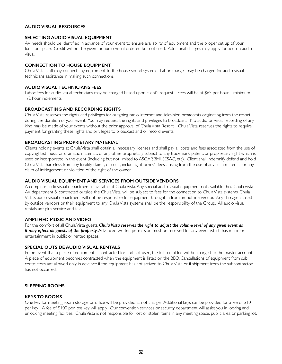# **AUDIO VISUAL RESOURCES**

#### **SELECTING AUDIO VISUAL EQUIPMENT**

AV needs should be identified in advance of your event to ensure availability of equipment and the proper set up of your function space. Credit will not be given for audio visual ordered but not used. Additional charges may apply for add-on audio visual.

#### **CONNECTION TO HOUSE EQUIPMENT**

Chula Vista staff may connect any equipment to the house sound system. Labor charges may be charged for audio visual technicians assistance in making such connections.

#### **AUDIO VISUAL TECHNICIANS FEES**

Labor fees for audio visual technicians may be charged based upon client's request. Fees will be at \$65 per hour—minimum 1/2 hour increments.

#### **BROADCASTING AND RECORDING RIGHTS**

Chula Vista reserves the rights and privileges for outgoing radio, internet and television broadcasts originating from the resort during the duration of your event. You may request the rights and privileges to broadcast. No audio or visual recording of any kind may be made of your events without the prior approval of Chula Vista Resort. Chula Vista reserves the rights to require payment for granting these rights and privileges to broadcast and or record events.

#### **BROADCASTING PROPRIETARY MATERIAL**

Clients holding events at Chula Vista shall obtain all necessary licenses and shall pay all costs and fees associated from the use of copyrighted music or dramatic materials, or any other proprietary subject to any trademark, patent, or proprietary right which is used or incorporated in the event (including but not limited to ASCAP, BMI, SESAC, etc). Client shall indemnify, defend and hold Chula Vista harmless from any liability, claims, or costs, including attorney's fees, arising from the use of any such materials or any claim of infringement or violation of the right of the owner.

#### **AUDIO VISUAL EQUIPMENT AND SERVICES FROM OUTSIDE VENDORS**

A complete audiovisual department is available at Chula Vista. Any special audio-visual equipment not available thru Chula Vista AV department & contracted outside the Chula Vista, will be subject to fees for the connection to Chula Vista systems. Chula Vista's audio-visual department will not be responsible for equipment brought in from an outside vendor. Any damage caused by outside vendors or their equipment to any Chula Vista systems shall be the responsibility of the Group. All audio visual rentals are plus service and tax.

#### **AMPLIFIED MUSIC AND VIDEO**

For the comfort of all Chula Vista guests, *Chula Vista reserves the right to adjust the volume level of any given event as it may effect all guests of the property*. Advanced written permission must be received for any event which has music or entertainment in public or rented spaces.

#### **SPECIAL OUTSIDE AUDIO VISUAL RENTALS**

In the event that a piece of equipment is contracted for and not used, the full rental fee will be charged to the master account. A piece of equipment becomes contracted when the equipment is listed on the BEO. Cancellations of equipment from sub contractors are allowed only in advance if the equipment has not arrived to Chula Vista or if shipment from the subcontractor has not occurred.

#### **SLEEPING ROOMS**

#### **KEYS TO ROOMS**

One key for meeting room storage or office will be provided at not charge. Additional keys can be provided for a fee of \$10 per key. A fee of \$100 per lost key will apply. Our convention services or security department will assist you in locking and unlocking meeting facilities. Chula Vista is not responsible for lost or stolen items in any meeting space, public area or parking lot.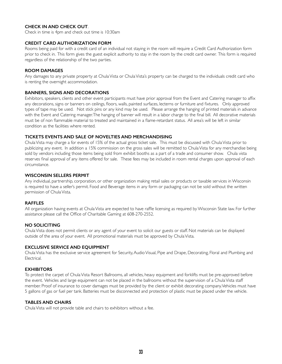# **CHECK IN AND CHECK OUT**.

Check in time is 4pm and check out time is 10:30am

#### **CREDIT CARD AUTHORIZATION FORM**

Rooms being paid for with a credit card of an individual not staying in the room will require a Credit Card Authorization form prior to check in. This form gives the guest explicit authority to stay in the room by the credit card owner. This form is required regardless of the relationship of the two parties.

# **ROOM DAMAGES**

Any damages to any private property at Chula Vista or Chula Vista's property can be charged to the individuals credit card who is renting the overnight accommodation.

# **BANNERS, SIGNS AND DECORATIONS**

Exhibitors, speakers, clients and other event participants must have prior approval from the Event and Catering manager to affix any decorations, signs or banners on ceilings, floors, walls, painted surfaces, lecterns or furniture and fixtures. Only approved types of tape may be used. Not stick pins or any kind may be used. Please arrange the hanging of printed materials in advance with the Event and Catering manager. The hanging of banner will result in a labor charge to the final bill. All decorative materials must be of non flammable material to treated and maintained in a flame-retardant status. All area's will be left in similar condition as the facilities where rented.

# **TICKETS EVENTS AND SALE OF NOVELTIES AND MERCHANDISING**

Chula Vista may charge a for events of 15% of the actual gross ticket sale. This must be discussed with Chula Vista prior to publicizing any event. In addition a 15% commission on the gross sales will be remitted to Chula Vista for any merchandise being sold by vendors including those items being sold from exhibit booths as a part of a trade and consumer show. Chula vista reserves final approval of any items offered for sale. These fees may be included in room rental charges upon approval of each circumstance.

# **WISCONSIN SELLERS PERMIT**

Any individual, partnership, corporation, or other organization making retail sales or products or taxable services in Wisconsin is required to have a seller's permit. Food and Beverage items in any form or packaging can not be sold without the written permission of Chula Vista.

# **RAFFLES**

All organization having events at Chula Vista are expected to have raffle licensing as required by Wisconsin State law. For further assistance please call the Office of Charitable Gaming at 608-270-2552.

# **NO SOLICITING**

Chula Vista does not permit clients or any agent of your event to solicit our guests or staff. Not materials can be displayed outside of the area of your event. All promotional materials must be approved by Chula Vista.

#### **EXCLUSIVE SERVICE AND EQUIPMENT**

Chula Vista has the exclusive service agreement for Security, Audio Visual, Pipe and Drape, Decorating, Floral and Plumbing and Electrical.

# **EXHIBITORS**

To protect the carpet of Chula Vista Resort Ballrooms, all vehicles, heavy equipment and forklifts must be pre-approved before the event. Vehicles and large equipment can not be placed in the ballrooms without the supervision of a Chula Vista staff member. Proof of insurance to cover damages must be provided by the client or exhibit decorating company. Vehicles must have 5 gallons of gas or fuel per tank. Batteries must be disconnected and protection of plastic must be placed under the vehicle.

# **TABLES AND CHAIRS**

Chula Vista will not provide table and chairs to exhibitors without a fee.